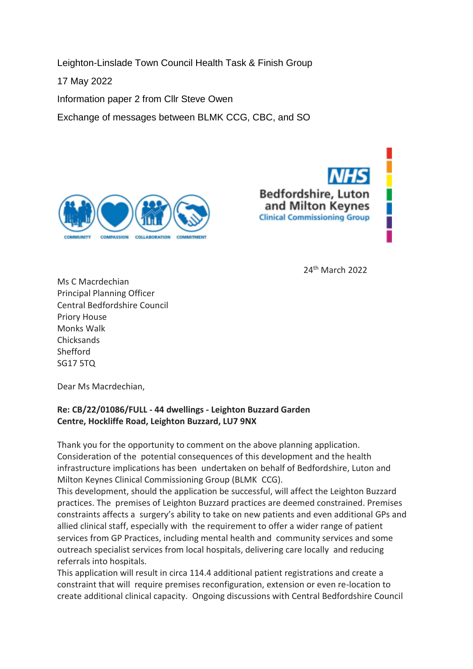Leighton-Linslade Town Council Health Task & Finish Group

17 May 2022

Information paper 2 from Cllr Steve Owen

Exchange of messages between BLMK CCG, CBC, and SO





<sup>24</sup>th March 2022

Ms C Macrdechian Principal Planning Officer Central Bedfordshire Council Priory House Monks Walk **Chicksands** Shefford SG17 5TQ

Dear Ms Macrdechian,

### **Re: CB/22/01086/FULL - 44 dwellings - Leighton Buzzard Garden Centre, Hockliffe Road, Leighton Buzzard, LU7 9NX**

Thank you for the opportunity to comment on the above planning application. Consideration of the potential consequences of this development and the health infrastructure implications has been undertaken on behalf of Bedfordshire, Luton and Milton Keynes Clinical Commissioning Group (BLMK CCG).

This development, should the application be successful, will affect the Leighton Buzzard practices. The premises of Leighton Buzzard practices are deemed constrained. Premises constraints affects a surgery's ability to take on new patients and even additional GPs and allied clinical staff, especially with the requirement to offer a wider range of patient services from GP Practices, including mental health and community services and some outreach specialist services from local hospitals, delivering care locally and reducing referrals into hospitals.

This application will result in circa 114.4 additional patient registrations and create a constraint that will require premises reconfiguration, extension or even re-location to create additional clinical capacity. Ongoing discussions with Central Bedfordshire Council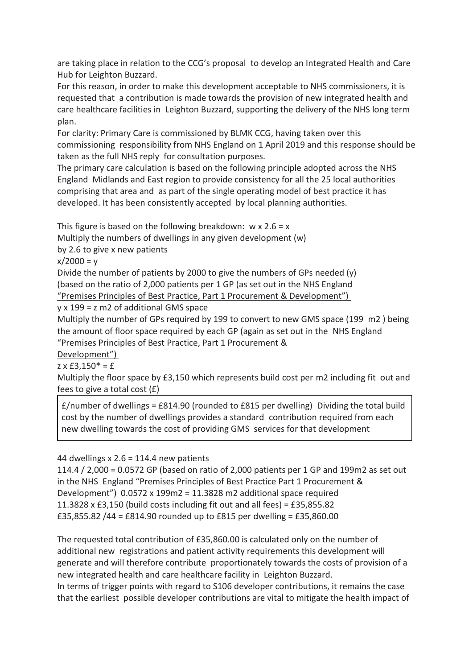are taking place in relation to the CCG's proposal to develop an Integrated Health and Care Hub for Leighton Buzzard.

For this reason, in order to make this development acceptable to NHS commissioners, it is requested that a contribution is made towards the provision of new integrated health and care healthcare facilities in Leighton Buzzard, supporting the delivery of the NHS long term plan.

For clarity: Primary Care is commissioned by BLMK CCG, having taken over this commissioning responsibility from NHS England on 1 April 2019 and this response should be taken as the full NHS reply for consultation purposes.

The primary care calculation is based on the following principle adopted across the NHS England Midlands and East region to provide consistency for all the 25 local authorities comprising that area and as part of the single operating model of best practice it has developed. It has been consistently accepted by local planning authorities.

This figure is based on the following breakdown:  $w \times 2.6 = x$ 

Multiply the numbers of dwellings in any given development (w)

by 2.6 to give x new patients

 $x/2000 = v$ 

Divide the number of patients by 2000 to give the numbers of GPs needed (y) (based on the ratio of 2,000 patients per 1 GP (as set out in the NHS England "Premises Principles of Best Practice, Part 1 Procurement & Development")

#### y x 199 = z m2 of additional GMS space

Multiply the number of GPs required by 199 to convert to new GMS space (199 m2 ) being the amount of floor space required by each GP (again as set out in the NHS England "Premises Principles of Best Practice, Part 1 Procurement &

Development")

 $z \times £3,150^* = £$ 

Multiply the floor space by £3,150 which represents build cost per m2 including fit out and fees to give a total cost (£)

 $f$ /number of dwellings =  $f$ 814.90 (rounded to  $f$ 815 per dwelling) Dividing the total build cost by the number of dwellings provides a standard contribution required from each new dwelling towards the cost of providing GMS services for that development

44 dwellings x 2.6 = 114.4 new patients

114.4 / 2,000 = 0.0572 GP (based on ratio of 2,000 patients per 1 GP and 199m2 as set out in the NHS England "Premises Principles of Best Practice Part 1 Procurement & Development") 0.0572 x 199m2 = 11.3828 m2 additional space required 11.3828 x £3,150 (build costs including fit out and all fees) = £35,855.82 £35,855.82 /44 = £814.90 rounded up to £815 per dwelling = £35,860.00

The requested total contribution of £35,860.00 is calculated only on the number of additional new registrations and patient activity requirements this development will generate and will therefore contribute proportionately towards the costs of provision of a new integrated health and care healthcare facility in Leighton Buzzard. In terms of trigger points with regard to S106 developer contributions, it remains the case

that the earliest possible developer contributions are vital to mitigate the health impact of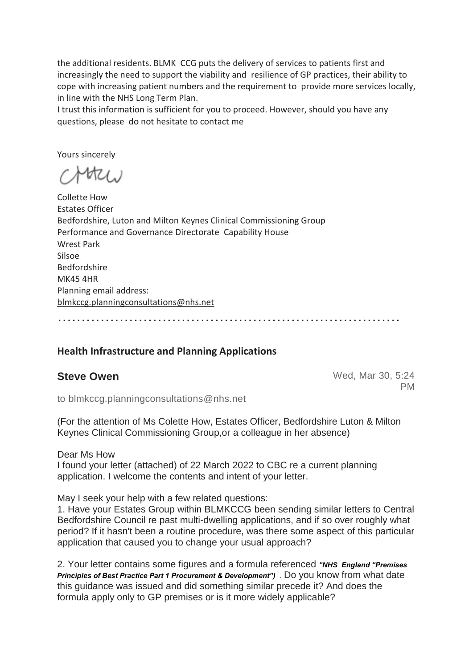the additional residents. BLMK CCG puts the delivery of services to patients first and increasingly the need to support the viability and resilience of GP practices, their ability to cope with increasing patient numbers and the requirement to provide more services locally, in line with the NHS Long Term Plan.

I trust this information is sufficient for you to proceed. However, should you have any questions, please do not hesitate to contact me

Yours sincerely

 $4t21.1$ 

Collette How Estates Officer Bedfordshire, Luton and Milton Keynes Clinical Commissioning Group Performance and Governance Directorate Capability House Wrest Park Silsoe Bedfordshire MK45 4HR Planning email address: blmkccg.planningconsultations@nhs.net

# ………………………………………………………………

#### **Health Infrastructure and Planning Applications**

**Steve Owen** Wed, Mar 30, 5:24 PM

to blmkccg.planningconsultations@nhs.net

(For the attention of Ms Colette How, Estates Officer, Bedfordshire Luton & Milton Keynes Clinical Commissioning Group,or a colleague in her absence)

Dear Ms How

I found your letter (attached) of 22 March 2022 to CBC re a current planning application. I welcome the contents and intent of your letter.

May I seek your help with a few related questions:

1. Have your Estates Group within BLMKCCG been sending similar letters to Central Bedfordshire Council re past multi-dwelling applications, and if so over roughly what period? If it hasn't been a routine procedure, was there some aspect of this particular application that caused you to change your usual approach?

2. Your letter contains some figures and a formula referenced *"NHS England "Premises Principles of Best Practice Part 1 Procurement & Development")* . Do you know from what date this guidance was issued and did something similar precede it? And does the formula apply only to GP premises or is it more widely applicable?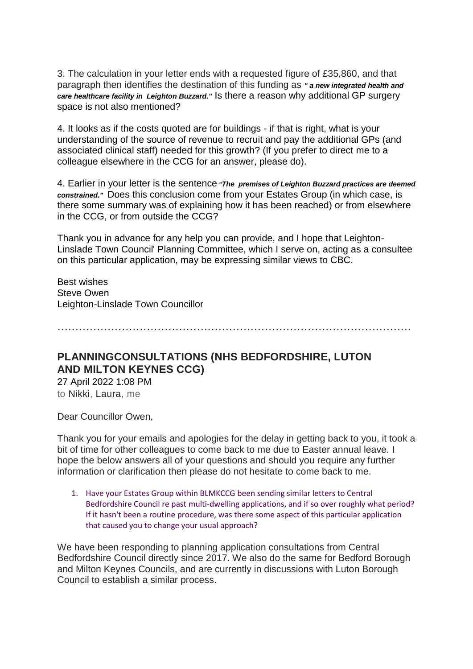3. The calculation in your letter ends with a requested figure of £35,860, and that paragraph then identifies the destination of this funding as *" a new integrated health and care healthcare facility in Leighton Buzzard."* Is there a reason why additional GP surgery space is not also mentioned?

4. It looks as if the costs quoted are for buildings - if that is right, what is your understanding of the source of revenue to recruit and pay the additional GPs (and associated clinical staff) needed for this growth? (If you prefer to direct me to a colleague elsewhere in the CCG for an answer, please do).

4. Earlier in your letter is the sentence *"The premises of Leighton Buzzard practices are deemed constrained."* Does this conclusion come from your Estates Group (in which case, is there some summary was of explaining how it has been reached) or from elsewhere in the CCG, or from outside the CCG?

Thank you in advance for any help you can provide, and I hope that Leighton-Linslade Town Council' Planning Committee, which I serve on, acting as a consultee on this particular application, may be expressing similar views to CBC.

Best wishes Steve Owen Leighton-Linslade Town Councillor

………………………………………………………………………………………

## **PLANNINGCONSULTATIONS (NHS BEDFORDSHIRE, LUTON AND MILTON KEYNES CCG)**

27 April 2022 1:08 PM to Nikki, Laura, me

Dear Councillor Owen,

Thank you for your emails and apologies for the delay in getting back to you, it took a bit of time for other colleagues to come back to me due to Easter annual leave. I hope the below answers all of your questions and should you require any further information or clarification then please do not hesitate to come back to me.

1. Have your Estates Group within BLMKCCG been sending similar letters to Central Bedfordshire Council re past multi-dwelling applications, and if so over roughly what period? If it hasn't been a routine procedure, was there some aspect of this particular application that caused you to change your usual approach?

We have been responding to planning application consultations from Central Bedfordshire Council directly since 2017. We also do the same for Bedford Borough and Milton Keynes Councils, and are currently in discussions with Luton Borough Council to establish a similar process.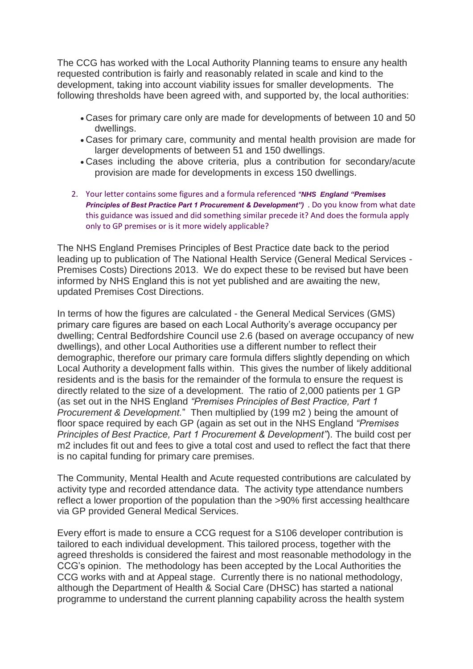The CCG has worked with the Local Authority Planning teams to ensure any health requested contribution is fairly and reasonably related in scale and kind to the development, taking into account viability issues for smaller developments. The following thresholds have been agreed with, and supported by, the local authorities:

- Cases for primary care only are made for developments of between 10 and 50 dwellings.
- Cases for primary care, community and mental health provision are made for larger developments of between 51 and 150 dwellings.
- Cases including the above criteria, plus a contribution for secondary/acute provision are made for developments in excess 150 dwellings.
- 2. Your letter contains some figures and a formula referenced *"NHS England "Premises Principles of Best Practice Part 1 Procurement & Development")* . Do you know from what date this guidance was issued and did something similar precede it? And does the formula apply only to GP premises or is it more widely applicable?

The NHS England Premises Principles of Best Practice date back to the period leading up to publication of The National Health Service (General Medical Services - Premises Costs) Directions 2013. We do expect these to be revised but have been informed by NHS England this is not yet published and are awaiting the new, updated Premises Cost Directions.

In terms of how the figures are calculated - the General Medical Services (GMS) primary care figures are based on each Local Authority's average occupancy per dwelling; Central Bedfordshire Council use 2.6 (based on average occupancy of new dwellings), and other Local Authorities use a different number to reflect their demographic, therefore our primary care formula differs slightly depending on which Local Authority a development falls within. This gives the number of likely additional residents and is the basis for the remainder of the formula to ensure the request is directly related to the size of a development. The ratio of 2,000 patients per 1 GP (as set out in the NHS England *"Premises Principles of Best Practice, Part 1 Procurement & Development.*" Then multiplied by (199 m2 ) being the amount of floor space required by each GP (again as set out in the NHS England *"Premises Principles of Best Practice, Part 1 Procurement & Development"*). The build cost per m2 includes fit out and fees to give a total cost and used to reflect the fact that there is no capital funding for primary care premises.

The Community, Mental Health and Acute requested contributions are calculated by activity type and recorded attendance data. The activity type attendance numbers reflect a lower proportion of the population than the >90% first accessing healthcare via GP provided General Medical Services.

Every effort is made to ensure a CCG request for a S106 developer contribution is tailored to each individual development. This tailored process, together with the agreed thresholds is considered the fairest and most reasonable methodology in the CCG's opinion. The methodology has been accepted by the Local Authorities the CCG works with and at Appeal stage. Currently there is no national methodology, although the Department of Health & Social Care (DHSC) has started a national programme to understand the current planning capability across the health system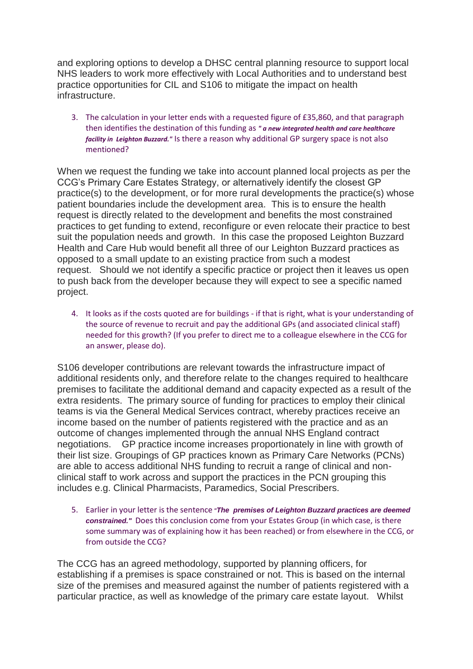and exploring options to develop a DHSC central planning resource to support local NHS leaders to work more effectively with Local Authorities and to understand best practice opportunities for CIL and S106 to mitigate the impact on health infrastructure.

3. The calculation in your letter ends with a requested figure of £35,860, and that paragraph then identifies the destination of this funding as *" a new integrated health and care healthcare facility in Leighton Buzzard."* Is there a reason why additional GP surgery space is not also mentioned?

When we request the funding we take into account planned local projects as per the CCG's Primary Care Estates Strategy, or alternatively identify the closest GP practice(s) to the development, or for more rural developments the practice(s) whose patient boundaries include the development area. This is to ensure the health request is directly related to the development and benefits the most constrained practices to get funding to extend, reconfigure or even relocate their practice to best suit the population needs and growth. In this case the proposed Leighton Buzzard Health and Care Hub would benefit all three of our Leighton Buzzard practices as opposed to a small update to an existing practice from such a modest request. Should we not identify a specific practice or project then it leaves us open to push back from the developer because they will expect to see a specific named project.

4. It looks as if the costs quoted are for buildings - if that is right, what is your understanding of the source of revenue to recruit and pay the additional GPs (and associated clinical staff) needed for this growth? (If you prefer to direct me to a colleague elsewhere in the CCG for an answer, please do).

S106 developer contributions are relevant towards the infrastructure impact of additional residents only, and therefore relate to the changes required to healthcare premises to facilitate the additional demand and capacity expected as a result of the extra residents. The primary source of funding for practices to employ their clinical teams is via the General Medical Services contract, whereby practices receive an income based on the number of patients registered with the practice and as an outcome of changes implemented through the annual NHS England contract negotiations. GP practice income increases proportionately in line with growth of their list size. Groupings of GP practices known as Primary Care Networks (PCNs) are able to access additional NHS funding to recruit a range of clinical and nonclinical staff to work across and support the practices in the PCN grouping this includes e.g. Clinical Pharmacists, Paramedics, Social Prescribers.

5. Earlier in your letter is the sentence *"The premises of Leighton Buzzard practices are deemed constrained."* Does this conclusion come from your Estates Group (in which case, is there some summary was of explaining how it has been reached) or from elsewhere in the CCG, or from outside the CCG?

The CCG has an agreed methodology, supported by planning officers, for establishing if a premises is space constrained or not. This is based on the internal size of the premises and measured against the number of patients registered with a particular practice, as well as knowledge of the primary care estate layout. Whilst